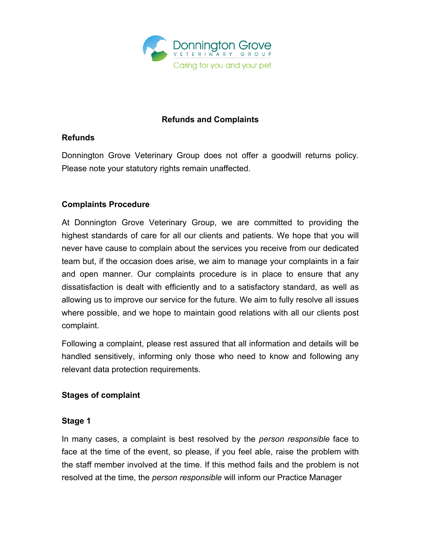

# **Refunds and Complaints**

# **Refunds**

Donnington Grove Veterinary Group does not offer a goodwill returns policy. Please note your statutory rights remain unaffected.

# **Complaints Procedure**

At Donnington Grove Veterinary Group, we are committed to providing the highest standards of care for all our clients and patients. We hope that you will never have cause to complain about the services you receive from our dedicated team but, if the occasion does arise, we aim to manage your complaints in a fair and open manner. Our complaints procedure is in place to ensure that any dissatisfaction is dealt with efficiently and to a satisfactory standard, as well as allowing us to improve our service for the future. We aim to fully resolve all issues where possible, and we hope to maintain good relations with all our clients post complaint.

Following a complaint, please rest assured that all information and details will be handled sensitively, informing only those who need to know and following any relevant data protection requirements.

## **Stages of complaint**

## **Stage 1**

In many cases, a complaint is best resolved by the *person responsible* face to face at the time of the event, so please, if you feel able, raise the problem with the staff member involved at the time. If this method fails and the problem is not resolved at the time, the *person responsible* will inform our Practice Manager